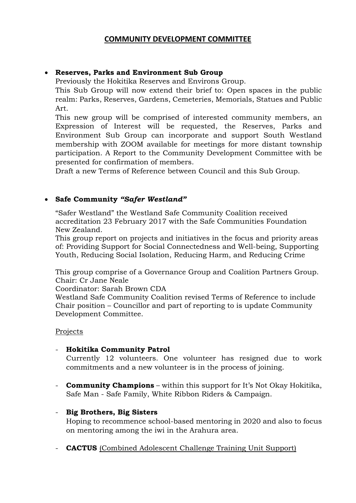## **COMMUNITY DEVELOPMENT COMMITTEE**

## **Reserves, Parks and Environment Sub Group**

Previously the Hokitika Reserves and Environs Group.

This Sub Group will now extend their brief to: Open spaces in the public realm: Parks, Reserves, Gardens, Cemeteries, Memorials, Statues and Public Art.

This new group will be comprised of interested community members, an Expression of Interest will be requested, the Reserves, Parks and Environment Sub Group can incorporate and support South Westland membership with ZOOM available for meetings for more distant township participation. A Report to the Community Development Committee with be presented for confirmation of members.

Draft a new Terms of Reference between Council and this Sub Group.

#### **Safe Community** *"Safer Westland"*

"Safer Westland" the Westland Safe Community Coalition received accreditation 23 February 2017 with the Safe Communities Foundation New Zealand.

This group report on projects and initiatives in the focus and priority areas of: Providing Support for Social Connectedness and Well-being, Supporting Youth, Reducing Social Isolation, Reducing Harm, and Reducing Crime

This group comprise of a Governance Group and Coalition Partners Group. Chair: Cr Jane Neale

Coordinator: Sarah Brown CDA

Westland Safe Community Coalition revised Terms of Reference to include Chair position – Councillor and part of reporting to is update Community Development Committee.

#### Projects

#### - **Hokitika Community Patrol**

Currently 12 volunteers. One volunteer has resigned due to work commitments and a new volunteer is in the process of joining.

- **Community Champions** – within this support for It's Not Okay Hokitika, Safe Man - Safe Family, White Ribbon Riders & Campaign.

#### - **Big Brothers, Big Sisters**

Hoping to recommence school-based mentoring in 2020 and also to focus on mentoring among the iwi in the Arahura area.

- **CACTUS** (Combined Adolescent Challenge Training Unit Support)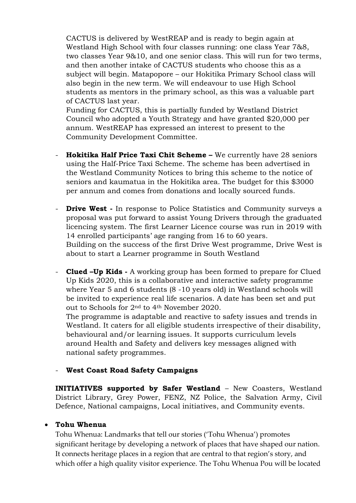CACTUS is delivered by WestREAP and is ready to begin again at Westland High School with four classes running: one class Year 7&8, two classes Year 9&10, and one senior class. This will run for two terms, and then another intake of CACTUS students who choose this as a subject will begin. Matapopore – our Hokitika Primary School class will also begin in the new term. We will endeavour to use High School students as mentors in the primary school, as this was a valuable part of CACTUS last year.

Funding for CACTUS, this is partially funded by Westland District Council who adopted a Youth Strategy and have granted \$20,000 per annum. WestREAP has expressed an interest to present to the Community Development Committee.

- **Hokitika Half Price Taxi Chit Scheme –** We currently have 28 seniors using the Half-Price Taxi Scheme. The scheme has been advertised in the Westland Community Notices to bring this scheme to the notice of seniors and kaumatua in the Hokitika area. The budget for this \$3000 per annum and comes from donations and locally sourced funds.
- **Drive West** In response to Police Statistics and Community surveys a proposal was put forward to assist Young Drivers through the graduated licencing system. The first Learner Licence course was run in 2019 with 14 enrolled participants' age ranging from 16 to 60 years. Building on the success of the first Drive West programme, Drive West is about to start a Learner programme in South Westland
- **Clued –Up Kids -** A working group has been formed to prepare for Clued Up Kids 2020, this is a collaborative and interactive safety programme where Year 5 and 6 students (8 -10 years old) in Westland schools will be invited to experience real life scenarios. A date has been set and put out to Schools for 2nd to 4th November 2020.

The programme is adaptable and reactive to safety issues and trends in Westland. It caters for all eligible students irrespective of their disability, behavioural and/or learning issues. It supports curriculum levels around Health and Safety and delivers key messages aligned with national safety programmes.

## - **West Coast Road Safety Campaigns**

**INITIATIVES supported by Safer Westland** – New Coasters, Westland District Library, Grey Power, FENZ, NZ Police, the Salvation Army, Civil Defence, National campaigns, Local initiatives, and Community events.

## **Tohu Whenua**

Tohu Whenua: Landmarks that tell our stories ('Tohu Whenua') promotes significant heritage by developing a network of places that have shaped our nation. It connects heritage places in a region that are central to that region's story, and which offer a high quality visitor experience. The Tohu Whenua Pou will be located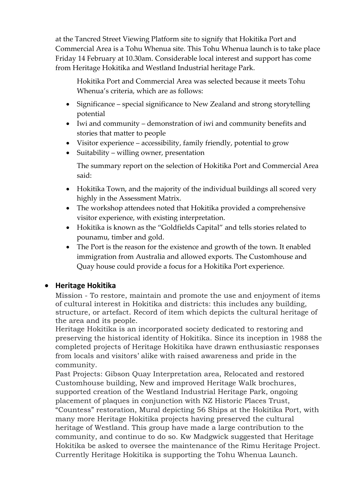at the Tancred Street Viewing Platform site to signify that Hokitika Port and Commercial Area is a Tohu Whenua site. This Tohu Whenua launch is to take place Friday 14 February at 10.30am. Considerable local interest and support has come from Heritage Hokitika and Westland Industrial heritage Park.

Hokitika Port and Commercial Area was selected because it meets Tohu Whenua's criteria, which are as follows:

- Significance special significance to New Zealand and strong storytelling potential
- Iwi and community demonstration of iwi and community benefits and stories that matter to people
- Visitor experience accessibility, family friendly, potential to grow
- Suitability willing owner, presentation

The summary report on the selection of Hokitika Port and Commercial Area said:

- Hokitika Town, and the majority of the individual buildings all scored very highly in the Assessment Matrix.
- The workshop attendees noted that Hokitika provided a comprehensive visitor experience, with existing interpretation.
- Hokitika is known as the "Goldfields Capital" and tells stories related to pounamu, timber and gold.
- The Port is the reason for the existence and growth of the town. It enabled immigration from Australia and allowed exports. The Customhouse and Quay house could provide a focus for a Hokitika Port experience.

# **Heritage Hokitika**

Mission - To restore, maintain and promote the use and enjoyment of items of cultural interest in Hokitika and districts: this includes any building, structure, or artefact. Record of item which depicts the cultural heritage of the area and its people.

Heritage Hokitika is an incorporated society dedicated to restoring and preserving the historical identity of Hokitika. Since its inception in 1988 the completed projects of Heritage Hokitika have drawn enthusiastic responses from locals and visitors' alike with raised awareness and pride in the community.

Past Projects: Gibson Quay Interpretation area, Relocated and restored Customhouse building, New and improved Heritage Walk brochures, supported creation of the Westland Industrial Heritage Park, ongoing placement of plaques in conjunction with NZ Historic Places Trust,

"Countess" restoration, Mural depicting 56 Ships at the Hokitika Port, with many more Heritage Hokitika projects having preserved the cultural heritage of Westland. This group have made a large contribution to the community, and continue to do so. Kw Madgwick suggested that Heritage Hokitika be asked to oversee the maintenance of the Rimu Heritage Project. Currently Heritage Hokitika is supporting the Tohu Whenua Launch.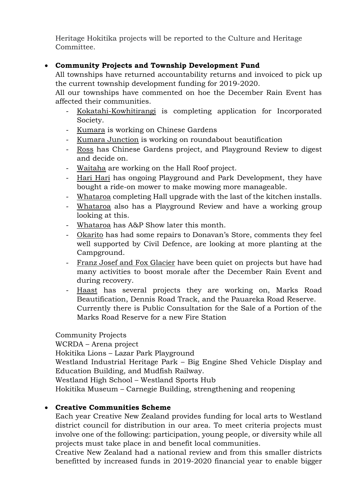Heritage Hokitika projects will be reported to the Culture and Heritage Committee.

## **Community Projects and Township Development Fund**

All townships have returned accountability returns and invoiced to pick up the current township development funding for 2019-2020.

All our townships have commented on hoe the December Rain Event has affected their communities.

- Kokatahi-Kowhitirangi is completing application for Incorporated Society.
- Kumara is working on Chinese Gardens
- Kumara Junction is working on roundabout beautification
- Ross has Chinese Gardens project, and Playground Review to digest and decide on.
- Waitaha are working on the Hall Roof project.
- Hari Hari has ongoing Playground and Park Development, they have bought a ride-on mower to make mowing more manageable.
- Whataroa completing Hall upgrade with the last of the kitchen installs.
- Whataroa also has a Playground Review and have a working group looking at this.
- Whataroa has A&P Show later this month.
- Okarito has had some repairs to Donavan's Store, comments they feel well supported by Civil Defence, are looking at more planting at the Campground.
- Franz Josef and Fox Glacier have been quiet on projects but have had many activities to boost morale after the December Rain Event and during recovery.
- Haast has several projects they are working on, Marks Road Beautification, Dennis Road Track, and the Pauareka Road Reserve. Currently there is Public Consultation for the Sale of a Portion of the Marks Road Reserve for a new Fire Station

Community Projects WCRDA – Arena project Hokitika Lions – Lazar Park Playground Westland Industrial Heritage Park – Big Engine Shed Vehicle Display and Education Building, and Mudfish Railway. Westland High School – Westland Sports Hub Hokitika Museum – Carnegie Building, strengthening and reopening

## **Creative Communities Scheme**

Each year Creative New Zealand provides funding for local arts to Westland district council for distribution in our area. To meet criteria projects must involve one of the following: participation, young people, or diversity while all projects must take place in and benefit local communities.

Creative New Zealand had a national review and from this smaller districts benefitted by increased funds in 2019-2020 financial year to enable bigger